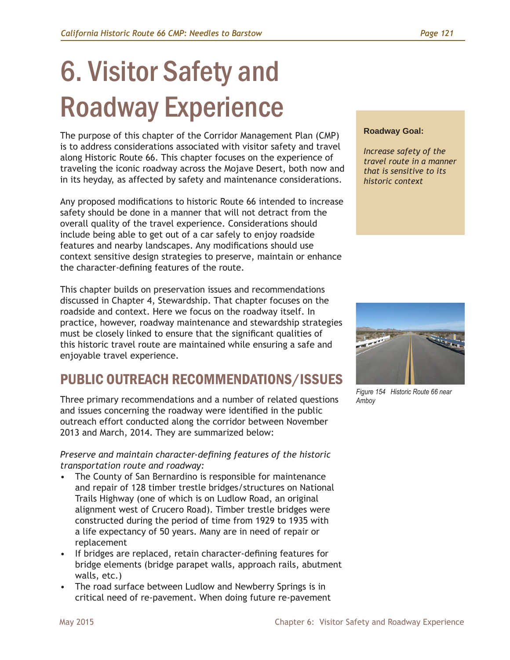# 6. Visitor Safety and Roadway Experience

The purpose of this chapter of the Corridor Management Plan (CMP) is to address considerations associated with visitor safety and travel along Historic Route 66. This chapter focuses on the experience of traveling the iconic roadway across the Mojave Desert, both now and in its heyday, as affected by safety and maintenance considerations.

Any proposed modifications to historic Route 66 intended to increase safety should be done in a manner that will not detract from the overall quality of the travel experience. Considerations should include being able to get out of a car safely to enjoy roadside features and nearby landscapes. Any modifications should use context sensitive design strategies to preserve, maintain or enhance the character-defining features of the route.

This chapter builds on preservation issues and recommendations discussed in Chapter 4, Stewardship. That chapter focuses on the roadside and context. Here we focus on the roadway itself. In practice, however, roadway maintenance and stewardship strategies must be closely linked to ensure that the significant qualities of this historic travel route are maintained while ensuring a safe and enjoyable travel experience.

# PUBLIC OUTREACH RECOMMENDATIONS/ISSUES

Three primary recommendations and a number of related questions and issues concerning the roadway were identified in the public outreach effort conducted along the corridor between November 2013 and March, 2014. They are summarized below:

#### *Preserve and maintain character-defining features of the historic transportation route and roadway:*

- The County of San Bernardino is responsible for maintenance and repair of 128 timber trestle bridges/structures on National Trails Highway (one of which is on Ludlow Road, an original alignment west of Crucero Road). Timber trestle bridges were constructed during the period of time from 1929 to 1935 with a life expectancy of 50 years. Many are in need of repair or replacement
- If bridges are replaced, retain character-defining features for bridge elements (bridge parapet walls, approach rails, abutment walls, etc.)
- The road surface between Ludlow and Newberry Springs is in critical need of re-pavement. When doing future re-pavement

#### **Roadway Goal:**

*Increase safety of the travel route in a manner that is sensitive to its historic context*



*Figure 154 Historic Route 66 near Amboy*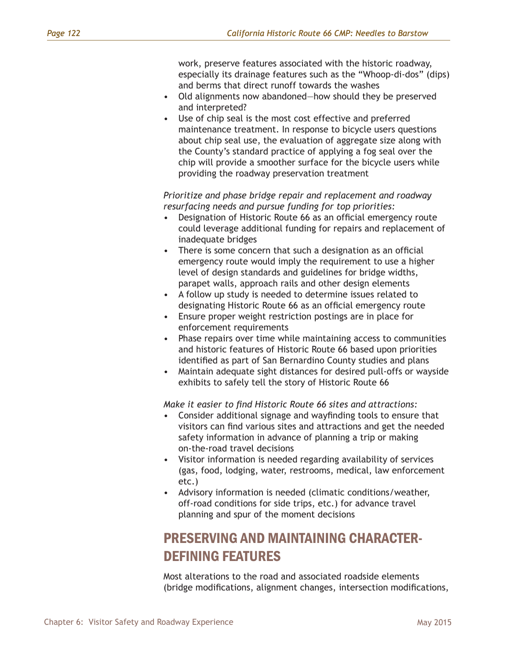work, preserve features associated with the historic roadway, especially its drainage features such as the "Whoop-di-dos" (dips) and berms that direct runoff towards the washes

- Old alignments now abandoned—how should they be preserved and interpreted?
- Use of chip seal is the most cost effective and preferred maintenance treatment. In response to bicycle users questions about chip seal use, the evaluation of aggregate size along with the County's standard practice of applying a fog seal over the chip will provide a smoother surface for the bicycle users while providing the roadway preservation treatment

*Prioritize and phase bridge repair and replacement and roadway resurfacing needs and pursue funding for top priorities:*

- Designation of Historic Route 66 as an official emergency route could leverage additional funding for repairs and replacement of inadequate bridges
- There is some concern that such a designation as an official emergency route would imply the requirement to use a higher level of design standards and guidelines for bridge widths, parapet walls, approach rails and other design elements
- A follow up study is needed to determine issues related to designating Historic Route 66 as an official emergency route
- Ensure proper weight restriction postings are in place for enforcement requirements
- Phase repairs over time while maintaining access to communities and historic features of Historic Route 66 based upon priorities identified as part of San Bernardino County studies and plans
- Maintain adequate sight distances for desired pull-offs or wayside exhibits to safely tell the story of Historic Route 66

*Make it easier to find Historic Route 66 sites and attractions:*

- Consider additional signage and wayfinding tools to ensure that visitors can find various sites and attractions and get the needed safety information in advance of planning a trip or making on-the-road travel decisions
- Visitor information is needed regarding availability of services (gas, food, lodging, water, restrooms, medical, law enforcement etc.)
- Advisory information is needed (climatic conditions/weather, off-road conditions for side trips, etc.) for advance travel planning and spur of the moment decisions

# PRESERVING AND MAINTAINING CHARACTER-DEFINING FEATURES

Most alterations to the road and associated roadside elements (bridge modifications, alignment changes, intersection modifications,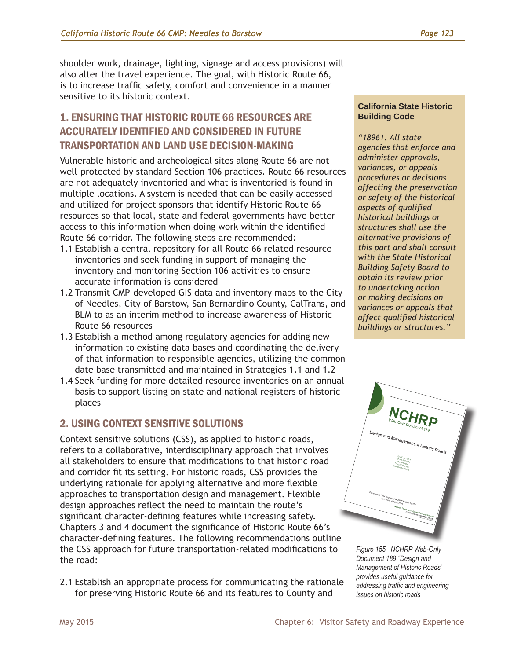shoulder work, drainage, lighting, signage and access provisions) will also alter the travel experience. The goal, with Historic Route 66, is to increase traffic safety, comfort and convenience in a manner sensitive to its historic context.

# 1. ENSURING THAT HISTORIC ROUTE 66 RESOURCES ARE ACCURATELY IDENTIFIED AND CONSIDERED IN FUTURE TRANSPORTATION AND LAND USE DECISION-MAKING

Vulnerable historic and archeological sites along Route 66 are not well-protected by standard Section 106 practices. Route 66 resources are not adequately inventoried and what is inventoried is found in multiple locations. A system is needed that can be easily accessed and utilized for project sponsors that identify Historic Route 66 resources so that local, state and federal governments have better access to this information when doing work within the identified Route 66 corridor. The following steps are recommended:

- 1.1 Establish a central repository for all Route 66 related resource inventories and seek funding in support of managing the inventory and monitoring Section 106 activities to ensure accurate information is considered
- 1.2 Transmit CMP-developed GIS data and inventory maps to the City of Needles, City of Barstow, San Bernardino County, CalTrans, and BLM to as an interim method to increase awareness of Historic Route 66 resources
- 1.3 Establish a method among regulatory agencies for adding new information to existing data bases and coordinating the delivery of that information to responsible agencies, utilizing the common date base transmitted and maintained in Strategies 1.1 and 1.2
- 1.4 Seek funding for more detailed resource inventories on an annual basis to support listing on state and national registers of historic places

## 2. USING CONTEXT SENSITIVE SOLUTIONS

Context sensitive solutions (CSS), as applied to historic roads, refers to a collaborative, interdisciplinary approach that involves all stakeholders to ensure that modifications to that historic road and corridor fit its setting. For historic roads, CSS provides the underlying rationale for applying alternative and more flexible approaches to transportation design and management. Flexible design approaches reflect the need to maintain the route's significant character-defining features while increasing safety. Chapters 3 and 4 document the significance of Historic Route 66's character-defining features. The following recommendations outline the CSS approach for future transportation-related modifications to the road:

2.1 Establish an appropriate process for communicating the rationale for preserving Historic Route 66 and its features to County and

#### **California State Historic Building Code**

*"18961. All state agencies that enforce and administer approvals, variances, or appeals procedures or decisions affecting the preservation or safety of the historical aspects of qualified historical buildings or structures shall use the alternative provisions of this part and shall consult with the State Historical Building Safety Board to obtain its review prior to undertaking action or making decisions on variances or appeals that affect qualified historical buildings or structures."*



*Figure 155 NCHRP Web-Only Document 189 "Design and Management of Historic Roads*" *provides useful guidance for addressing traffic and engineering issues on historic roads*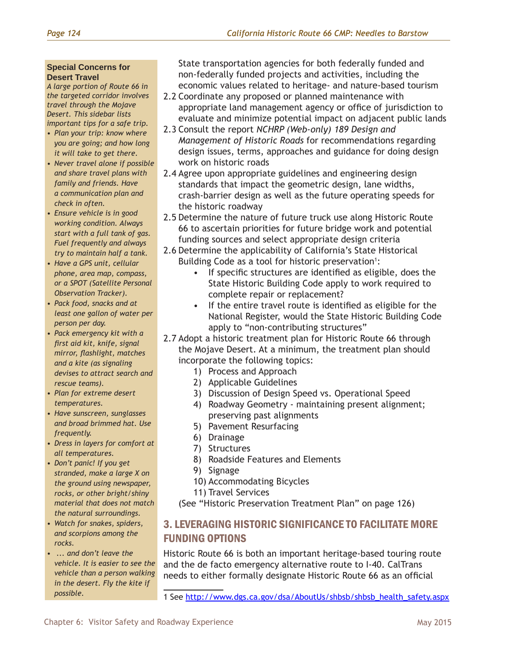#### **Special Concerns for Desert Travel**

*A large portion of Route 66 in the targeted corridor involves travel through the Mojave Desert. This sidebar lists important tips for a safe trip.*

- *• Plan your trip: know where you are going; and how long it will take to get there.*
- *• Never travel alone if possible and share travel plans with family and friends. Have a communication plan and check in often.*
- *• Ensure vehicle is in good working condition. Always start with a full tank of gas. Fuel frequently and always try to maintain half a tank.*
- *• Have a GPS unit, cellular phone, area map, compass, or a SPOT (Satellite Personal Observation Tracker).*
- *• Pack food, snacks and at least one gallon of water per person per day.*
- *• Pack emergency kit with a first aid kit, knife, signal mirror, flashlight, matches and a kite (as signaling devises to attract search and rescue teams).*
- *• Plan for extreme desert temperatures.*
- *• Have sunscreen, sunglasses and broad brimmed hat. Use frequently.*
- *• Dress in layers for comfort at all temperatures.*
- *• Don't panic! If you get stranded, make a large X on the ground using newspaper, rocks, or other bright/shiny material that does not match the natural surroundings.*
- *• Watch for snakes, spiders, and scorpions among the rocks.*
- *• ... and don't leave the vehicle. It is easier to see the vehicle than a person walking in the desert. Fly the kite if possible.*

State transportation agencies for both federally funded and non-federally funded projects and activities, including the economic values related to heritage- and nature-based tourism

- 2.2 Coordinate any proposed or planned maintenance with appropriate land management agency or office of jurisdiction to evaluate and minimize potential impact on adjacent public lands
- 2.3 Consult the report *NCHRP (Web-only) 189 Design and Management of Historic Roads* for recommendations regarding design issues, terms, approaches and guidance for doing design work on historic roads
- 2.4 Agree upon appropriate guidelines and engineering design standards that impact the geometric design, lane widths, crash-barrier design as well as the future operating speeds for the historic roadway
- 2.5 Determine the nature of future truck use along Historic Route 66 to ascertain priorities for future bridge work and potential funding sources and select appropriate design criteria
- 2.6 Determine the applicability of California's State Historical Building Code as a tool for historic preservation<sup>1</sup>:
	- If specific structures are identified as eligible, does the State Historic Building Code apply to work required to complete repair or replacement?
	- If the entire travel route is identified as eligible for the National Register, would the State Historic Building Code apply to "non-contributing structures"
- 2.7 Adopt a historic treatment plan for Historic Route 66 through the Mojave Desert. At a minimum, the treatment plan should incorporate the following topics:
	- 1) Process and Approach
	- 2) Applicable Guidelines
	- 3) Discussion of Design Speed vs. Operational Speed
	- 4) Roadway Geometry maintaining present alignment; preserving past alignments
	- 5) Pavement Resurfacing
	- 6) Drainage
	- 7) Structures
	- 8) Roadside Features and Elements
	- 9) Signage
	- 10) Accommodating Bicycles
	- 11) Travel Services

(See "Historic Preservation Treatment Plan" on page 126)

# 3. LEVERAGING HISTORIC SIGNIFICANCE TO FACILITATE MORE FUNDING OPTIONS

Historic Route 66 is both an important heritage-based touring route and the de facto emergency alternative route to I-40. CalTrans needs to either formally designate Historic Route 66 as an official

<sup>1</sup> See [http://www.dgs.ca.gov/dsa/AboutUs/shbsb/shbsb\\_health\\_safety.aspx](http://www.dgs.ca.gov/dsa/AboutUs/shbsb/shbsb_health_safety.aspx)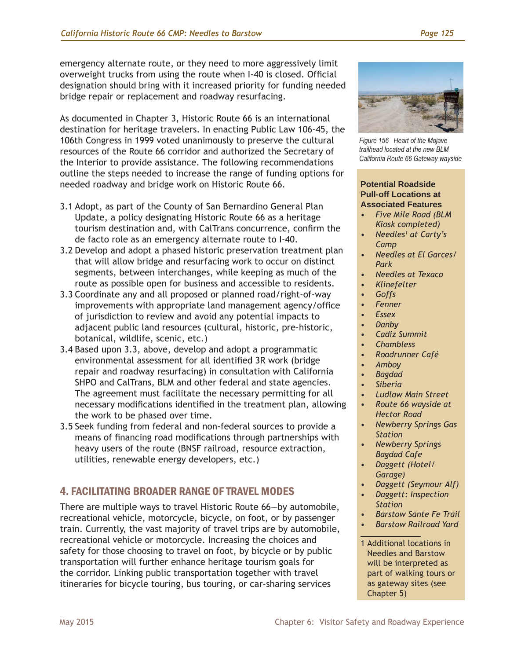emergency alternate route, or they need to more aggressively limit overweight trucks from using the route when I-40 is closed. Official designation should bring with it increased priority for funding needed bridge repair or replacement and roadway resurfacing.

As documented in Chapter 3, Historic Route 66 is an international destination for heritage travelers. In enacting Public Law 106-45, the 106th Congress in 1999 voted unanimously to preserve the cultural resources of the Route 66 corridor and authorized the Secretary of the Interior to provide assistance. The following recommendations outline the steps needed to increase the range of funding options for needed roadway and bridge work on Historic Route 66.

- 3.1 Adopt, as part of the County of San Bernardino General Plan Update, a policy designating Historic Route 66 as a heritage tourism destination and, with CalTrans concurrence, confirm the de facto role as an emergency alternate route to I-40.
- 3.2 Develop and adopt a phased historic preservation treatment plan that will allow bridge and resurfacing work to occur on distinct segments, between interchanges, while keeping as much of the route as possible open for business and accessible to residents.
- 3.3 Coordinate any and all proposed or planned road/right-of-way improvements with appropriate land management agency/office of jurisdiction to review and avoid any potential impacts to adjacent public land resources (cultural, historic, pre-historic, botanical, wildlife, scenic, etc.)
- 3.4 Based upon 3.3, above, develop and adopt a programmatic environmental assessment for all identified 3R work (bridge repair and roadway resurfacing) in consultation with California SHPO and CalTrans, BLM and other federal and state agencies. The agreement must facilitate the necessary permitting for all necessary modifications identified in the treatment plan, allowing the work to be phased over time.
- 3.5 Seek funding from federal and non-federal sources to provide a means of financing road modifications through partnerships with heavy users of the route (BNSF railroad, resource extraction, utilities, renewable energy developers, etc.)

# 4. FACILITATING BROADER RANGE OF TRAVEL MODES

There are multiple ways to travel Historic Route 66—by automobile, recreational vehicle, motorcycle, bicycle, on foot, or by passenger train. Currently, the vast majority of travel trips are by automobile, recreational vehicle or motorcycle. Increasing the choices and safety for those choosing to travel on foot, by bicycle or by public transportation will further enhance heritage tourism goals for the corridor. Linking public transportation together with travel itineraries for bicycle touring, bus touring, or car-sharing services



*Figure 156 Heart of the Mojave trailhead located at the new BLM California Route 66 Gateway wayside*

#### **Potential Roadside Pull-off Locations at Associated Features**

- *• Five Mile Road (BLM Kiosk completed)*
- *• Needles1 at Carty's Camp*
- *• Needles at El Garces/ Park*
- *• Needles at Texaco*
- *• Klinefelter*
- *• Goffs*
- *• Fenner*
- *• Essex*
- *• Danby*
- *• Cadiz Summit*
- *• Chambless*
- *• Roadrunner Café*
- *• Amboy*
- *• Bagdad*
- *• Siberia*
	- *• Ludlow Main Street*
- *• Route 66 wayside at Hector Road*
- *• Newberry Springs Gas Station*
- *• Newberry Springs Bagdad Cafe*
- *• Daggett (Hotel/ Garage)*
- *• Daggett (Seymour Alf)*
- *• Daggett: Inspection Station*
- *• Barstow Sante Fe Trail*
- *• Barstow Railroad Yard*

1 Additional locations in Needles and Barstow will be interpreted as part of walking tours or as gateway sites (see Chapter 5)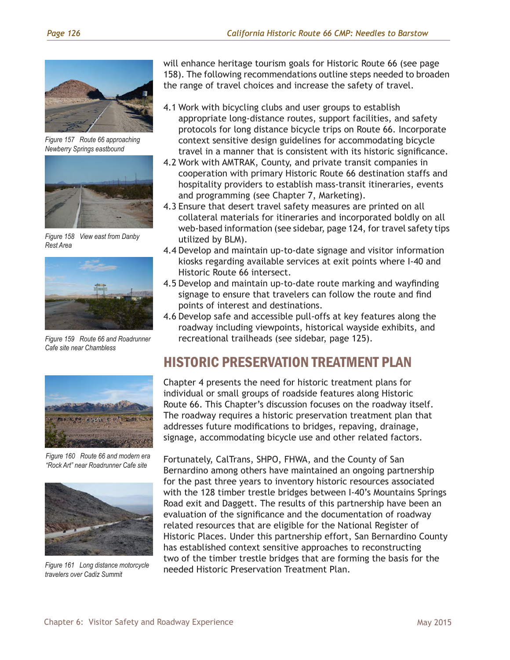

*Figure 157 Route 66 approaching Newberry Springs eastbound*



*Figure 158 View east from Danby Rest Area*



*Figure 159 Route 66 and Roadrunner Cafe site near Chambless*



*Figure 160 Route 66 and modern era "Rock Art" near Roadrunner Cafe site*



*Figure 161 Long distance motorcycle travelers over Cadiz Summit* 

will enhance heritage tourism goals for Historic Route 66 (see page 158). The following recommendations outline steps needed to broaden the range of travel choices and increase the safety of travel.

- 4.1 Work with bicycling clubs and user groups to establish appropriate long-distance routes, support facilities, and safety protocols for long distance bicycle trips on Route 66. Incorporate context sensitive design guidelines for accommodating bicycle travel in a manner that is consistent with its historic significance.
- 4.2 Work with AMTRAK, County, and private transit companies in cooperation with primary Historic Route 66 destination staffs and hospitality providers to establish mass-transit itineraries, events and programming (see Chapter 7, Marketing).
- 4.3 Ensure that desert travel safety measures are printed on all collateral materials for itineraries and incorporated boldly on all web-based information (see sidebar, page 124, for travel safety tips utilized by BLM).
- 4.4 Develop and maintain up-to-date signage and visitor information kiosks regarding available services at exit points where I-40 and Historic Route 66 intersect.
- 4.5 Develop and maintain up-to-date route marking and wayfinding signage to ensure that travelers can follow the route and find points of interest and destinations.
- 4.6 Develop safe and accessible pull-offs at key features along the roadway including viewpoints, historical wayside exhibits, and recreational trailheads (see sidebar, page 125).

# HISTORIC PRESERVATION TREATMENT PLAN

Chapter 4 presents the need for historic treatment plans for individual or small groups of roadside features along Historic Route 66. This Chapter's discussion focuses on the roadway itself. The roadway requires a historic preservation treatment plan that addresses future modifications to bridges, repaving, drainage, signage, accommodating bicycle use and other related factors.

Fortunately, CalTrans, SHPO, FHWA, and the County of San Bernardino among others have maintained an ongoing partnership for the past three years to inventory historic resources associated with the 128 timber trestle bridges between I-40's Mountains Springs Road exit and Daggett. The results of this partnership have been an evaluation of the significance and the documentation of roadway related resources that are eligible for the National Register of Historic Places. Under this partnership effort, San Bernardino County has established context sensitive approaches to reconstructing two of the timber trestle bridges that are forming the basis for the needed Historic Preservation Treatment Plan.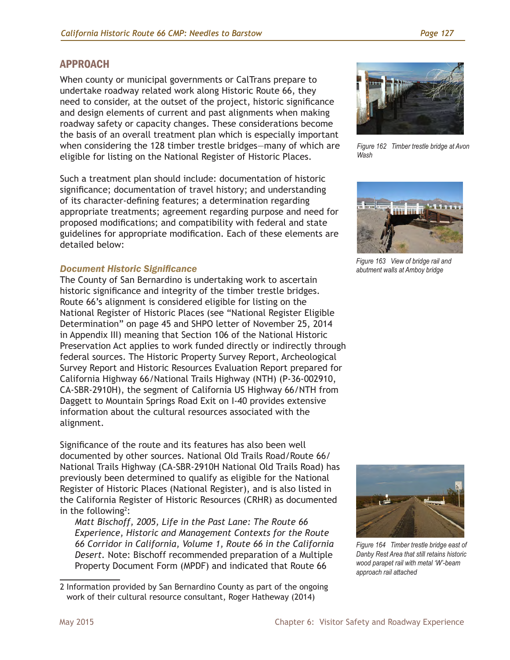## APPROACH

When county or municipal governments or CalTrans prepare to undertake roadway related work along Historic Route 66, they need to consider, at the outset of the project, historic significance and design elements of current and past alignments when making roadway safety or capacity changes. These considerations become the basis of an overall treatment plan which is especially important when considering the 128 timber trestle bridges—many of which are eligible for listing on the National Register of Historic Places.

Such a treatment plan should include: documentation of historic significance; documentation of travel history; and understanding of its character-defining features; a determination regarding appropriate treatments; agreement regarding purpose and need for proposed modifications; and compatibility with federal and state guidelines for appropriate modification. Each of these elements are detailed below:

#### *Document Historic Significance*

The County of San Bernardino is undertaking work to ascertain historic significance and integrity of the timber trestle bridges. Route 66's alignment is considered eligible for listing on the National Register of Historic Places (see "National Register Eligible Determination" on page 45 and SHPO letter of November 25, 2014 in Appendix III) meaning that Section 106 of the National Historic Preservation Act applies to work funded directly or indirectly through federal sources. The Historic Property Survey Report, Archeological Survey Report and Historic Resources Evaluation Report prepared for California Highway 66/National Trails Highway (NTH) (P-36-002910, CA-SBR-2910H), the segment of California US Highway 66/NTH from Daggett to Mountain Springs Road Exit on I-40 provides extensive information about the cultural resources associated with the alignment.

Significance of the route and its features has also been well documented by other sources. National Old Trails Road/Route 66/ National Trails Highway (CA-SBR-2910H National Old Trails Road) has previously been determined to qualify as eligible for the National Register of Historic Places (National Register), and is also listed in the California Register of Historic Resources (CRHR) as documented in the following<sup>2</sup>:

*Matt Bischoff, 2005, Life in the Past Lane: The Route 66 Experience, Historic and Management Contexts for the Route 66 Corridor in California, Volume 1, Route 66 in the California Desert.* Note: Bischoff recommended preparation of a Multiple Property Document Form (MPDF) and indicated that Route 66



*Figure 162 Timber trestle bridge at Avon Wash*



*Figure 163 View of bridge rail and abutment walls at Amboy bridge*



*Figure 164 Timber trestle bridge east of Danby Rest Area that still retains historic wood parapet rail with metal 'W'-beam approach rail attached* 

<sup>2</sup> Information provided by San Bernardino County as part of the ongoing work of their cultural resource consultant, Roger Hatheway (2014)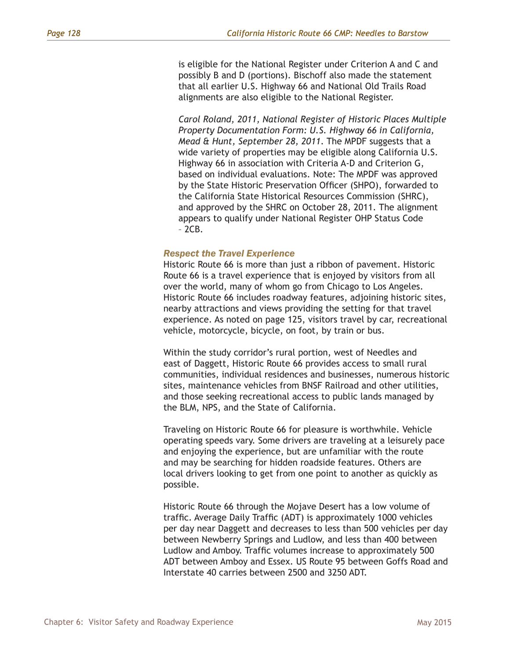is eligible for the National Register under Criterion A and C and possibly B and D (portions). Bischoff also made the statement that all earlier U.S. Highway 66 and National Old Trails Road alignments are also eligible to the National Register.

*Carol Roland, 2011, National Register of Historic Places Multiple Property Documentation Form: U.S. Highway 66 in California, Mead & Hunt, September 28, 2011*. The MPDF suggests that a wide variety of properties may be eligible along California U.S. Highway 66 in association with Criteria A-D and Criterion G, based on individual evaluations. Note: The MPDF was approved by the State Historic Preservation Officer (SHPO), forwarded to the California State Historical Resources Commission (SHRC), and approved by the SHRC on October 28, 2011. The alignment appears to qualify under National Register OHP Status Code – 2CB.

#### *Respect the Travel Experience*

Historic Route 66 is more than just a ribbon of pavement. Historic Route 66 is a travel experience that is enjoyed by visitors from all over the world, many of whom go from Chicago to Los Angeles. Historic Route 66 includes roadway features, adjoining historic sites, nearby attractions and views providing the setting for that travel experience. As noted on page 125, visitors travel by car, recreational vehicle, motorcycle, bicycle, on foot, by train or bus.

Within the study corridor's rural portion, west of Needles and east of Daggett, Historic Route 66 provides access to small rural communities, individual residences and businesses, numerous historic sites, maintenance vehicles from BNSF Railroad and other utilities, and those seeking recreational access to public lands managed by the BLM, NPS, and the State of California.

Traveling on Historic Route 66 for pleasure is worthwhile. Vehicle operating speeds vary. Some drivers are traveling at a leisurely pace and enjoying the experience, but are unfamiliar with the route and may be searching for hidden roadside features. Others are local drivers looking to get from one point to another as quickly as possible.

Historic Route 66 through the Mojave Desert has a low volume of traffic. Average Daily Traffic (ADT) is approximately 1000 vehicles per day near Daggett and decreases to less than 500 vehicles per day between Newberry Springs and Ludlow, and less than 400 between Ludlow and Amboy. Traffic volumes increase to approximately 500 ADT between Amboy and Essex. US Route 95 between Goffs Road and Interstate 40 carries between 2500 and 3250 ADT.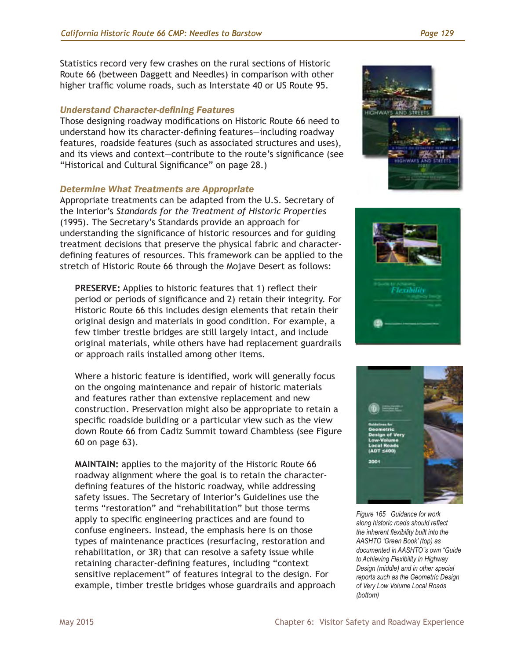Statistics record very few crashes on the rural sections of Historic Route 66 (between Daggett and Needles) in comparison with other higher traffic volume roads, such as Interstate 40 or US Route 95.

#### *Understand Character-defining Features*

Those designing roadway modifications on Historic Route 66 need to understand how its character-defining features—including roadway features, roadside features (such as associated structures and uses), and its views and context—contribute to the route's significance (see "Historical and Cultural Significance" on page 28.)

#### *Determine What Treatments are Appropriate*

Appropriate treatments can be adapted from the U.S. Secretary of the Interior's *Standards for the Treatment of Historic Properties* (1995). The Secretary's Standards provide an approach for understanding the significance of historic resources and for guiding treatment decisions that preserve the physical fabric and characterdefining features of resources. This framework can be applied to the stretch of Historic Route 66 through the Mojave Desert as follows:

**PRESERVE:** Applies to historic features that 1) reflect their period or periods of significance and 2) retain their integrity. For Historic Route 66 this includes design elements that retain their original design and materials in good condition. For example, a few timber trestle bridges are still largely intact, and include original materials, while others have had replacement guardrails or approach rails installed among other items.

Where a historic feature is identified, work will generally focus on the ongoing maintenance and repair of historic materials and features rather than extensive replacement and new construction. Preservation might also be appropriate to retain a specific roadside building or a particular view such as the view down Route 66 from Cadiz Summit toward Chambless (see Figure 60 on page 63).

**MAINTAIN:** applies to the majority of the Historic Route 66 roadway alignment where the goal is to retain the characterdefining features of the historic roadway, while addressing safety issues. The Secretary of Interior's Guidelines use the terms "restoration" and "rehabilitation" but those terms apply to specific engineering practices and are found to confuse engineers. Instead, the emphasis here is on those types of maintenance practices (resurfacing, restoration and rehabilitation, or 3R) that can resolve a safety issue while retaining character-defining features, including "context sensitive replacement" of features integral to the design. For example, timber trestle bridges whose guardrails and approach







*Figure 165 Guidance for work along historic roads should reflect the inherent flexibility built into the AASHTO 'Green Book' (top) as documented in AASHTO"s own "Guide to Achieving Flexibility in Highway Design (middle) and in other special reports such as the Geometric Design of Very Low Volume Local Roads (bottom)*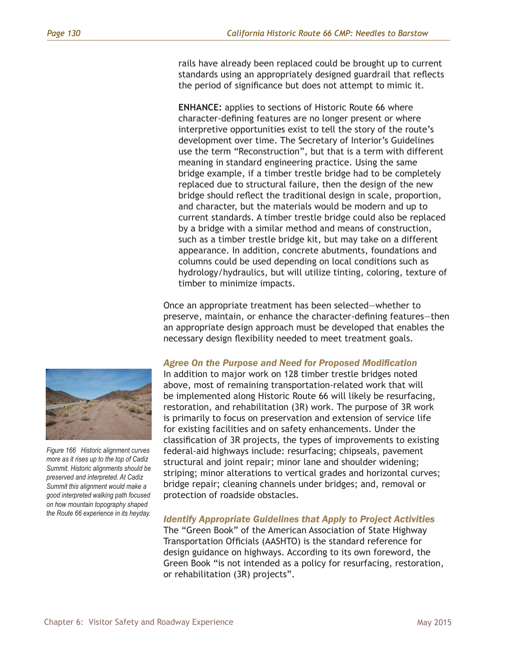rails have already been replaced could be brought up to current standards using an appropriately designed guardrail that reflects the period of significance but does not attempt to mimic it.

**ENHANCE:** applies to sections of Historic Route 66 where character-defining features are no longer present or where interpretive opportunities exist to tell the story of the route's development over time. The Secretary of Interior's Guidelines use the term "Reconstruction", but that is a term with different meaning in standard engineering practice. Using the same bridge example, if a timber trestle bridge had to be completely replaced due to structural failure, then the design of the new bridge should reflect the traditional design in scale, proportion, and character, but the materials would be modern and up to current standards. A timber trestle bridge could also be replaced by a bridge with a similar method and means of construction, such as a timber trestle bridge kit, but may take on a different appearance. In addition, concrete abutments, foundations and columns could be used depending on local conditions such as hydrology/hydraulics, but will utilize tinting, coloring, texture of timber to minimize impacts.

Once an appropriate treatment has been selected—whether to preserve, maintain, or enhance the character-defining features—then an appropriate design approach must be developed that enables the necessary design flexibility needed to meet treatment goals.

#### *Agree On the Purpose and Need for Proposed Modification*

In addition to major work on 128 timber trestle bridges noted above, most of remaining transportation-related work that will be implemented along Historic Route 66 will likely be resurfacing, restoration, and rehabilitation (3R) work. The purpose of 3R work is primarily to focus on preservation and extension of service life for existing facilities and on safety enhancements. Under the classification of 3R projects, the types of improvements to existing federal-aid highways include: resurfacing; chipseals, pavement structural and joint repair; minor lane and shoulder widening; striping; minor alterations to vertical grades and horizontal curves; bridge repair; cleaning channels under bridges; and, removal or protection of roadside obstacles.

*Identify Appropriate Guidelines that Apply to Project Activities* The "Green Book" of the American Association of State Highway Transportation Officials (AASHTO) is the standard reference for design guidance on highways. According to its own foreword, the Green Book "is not intended as a policy for resurfacing, restoration, or rehabilitation (3R) projects".



*Figure 166 Historic alignment curves more as it rises up to the top of Cadiz Summit. Historic alignments should be preserved and interpreted. At Cadiz Summit this alignment would make a good interpreted walking path focused on how mountain topography shaped the Route 66 experience in its heyday.*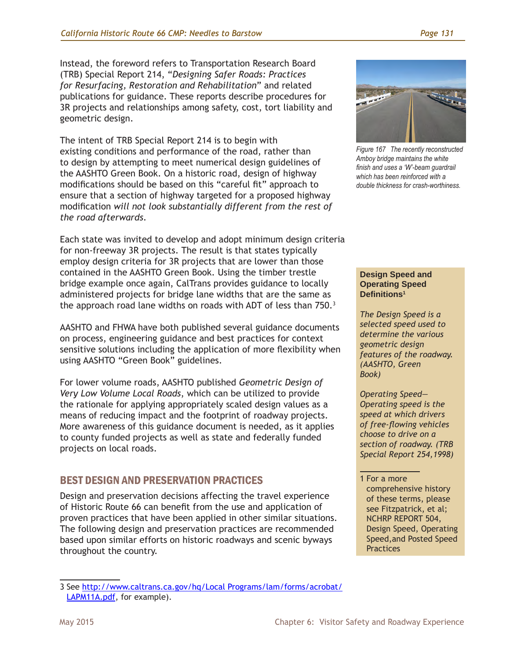Instead, the foreword refers to Transportation Research Board (TRB) Special Report 214, "*Designing Safer Roads: Practices for Resurfacing, Restoration and Rehabilitation*" and related publications for guidance. These reports describe procedures for 3R projects and relationships among safety, cost, tort liability and geometric design.

The intent of TRB Special Report 214 is to begin with existing conditions and performance of the road, rather than to design by attempting to meet numerical design guidelines of the AASHTO Green Book. On a historic road, design of highway modifications should be based on this "careful fit" approach to ensure that a section of highway targeted for a proposed highway modification *will not look substantially different from the rest of the road afterwards*.

Each state was invited to develop and adopt minimum design criteria for non-freeway 3R projects. The result is that states typically employ design criteria for 3R projects that are lower than those contained in the AASHTO Green Book. Using the timber trestle bridge example once again, CalTrans provides guidance to locally administered projects for bridge lane widths that are the same as the approach road lane widths on roads with ADT of less than 750.<sup>3</sup>

AASHTO and FHWA have both published several guidance documents on process, engineering guidance and best practices for context sensitive solutions including the application of more flexibility when using AASHTO "Green Book" guidelines.

For lower volume roads, AASHTO published *Geometric Design of Very Low Volume Local Roads*, which can be utilized to provide the rationale for applying appropriately scaled design values as a means of reducing impact and the footprint of roadway projects. More awareness of this guidance document is needed, as it applies to county funded projects as well as state and federally funded projects on local roads.

## BEST DESIGN AND PRESERVATION PRACTICES

Design and preservation decisions affecting the travel experience of Historic Route 66 can benefit from the use and application of proven practices that have been applied in other similar situations. The following design and preservation practices are recommended based upon similar efforts on historic roadways and scenic byways throughout the country.





*Figure 167 The recently reconstructed Amboy bridge maintains the white finish and uses a 'W'-beam guardrail which has been reinforced with a double thickness for crash-worthiness.*

#### **Design Speed and Operating Speed Definitions1**

*The Design Speed is a selected speed used to determine the various geometric design features of the roadway. (AASHTO, Green Book)*

*Operating Speed— Operating speed is the speed at which drivers of free-flowing vehicles choose to drive on a section of roadway. (TRB Special Report 254,1998)*

<sup>1</sup> For a more comprehensive history of these terms, please see Fitzpatrick, et al; NCHRP REPORT 504, Design Speed, Operating Speed,and Posted Speed **Practices**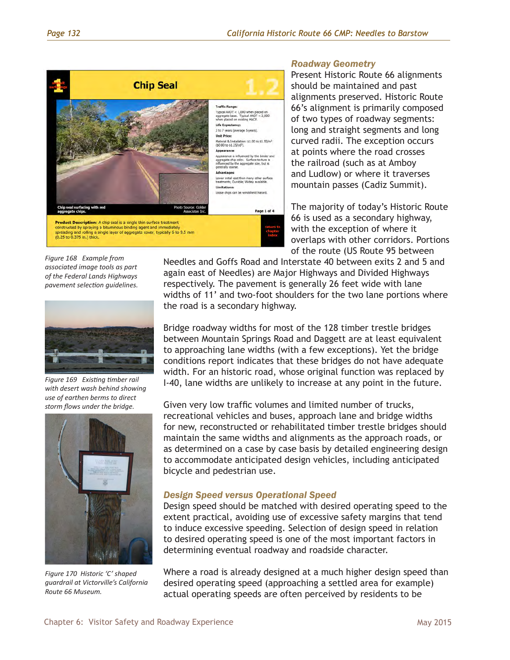

#### *Roadway Geometry*

Present Historic Route 66 alignments should be maintained and past alignments preserved. Historic Route 66's alignment is primarily composed of two types of roadway segments: long and straight segments and long curved radii. The exception occurs at points where the road crosses the railroad (such as at Amboy and Ludlow) or where it traverses mountain passes (Cadiz Summit).

The majority of today's Historic Route 66 is used as a secondary highway, with the exception of where it overlaps with other corridors. Portions of the route (US Route 95 between

*Figure 168 Example from associated image tools as part of the Federal Lands Highways pavement selection guidelines.*



*Figure 169 Existing timber rail with desert wash behind showing use of earthen berms to direct storm flows under the bridge.* 



*Figure 170 Historic 'C' shaped guardrail at Victorville's California Route 66 Museum.* 

Needles and Goffs Road and Interstate 40 between exits 2 and 5 and again east of Needles) are Major Highways and Divided Highways respectively. The pavement is generally 26 feet wide with lane widths of 11' and two-foot shoulders for the two lane portions where the road is a secondary highway.

Bridge roadway widths for most of the 128 timber trestle bridges between Mountain Springs Road and Daggett are at least equivalent to approaching lane widths (with a few exceptions). Yet the bridge conditions report indicates that these bridges do not have adequate width. For an historic road, whose original function was replaced by I-40, lane widths are unlikely to increase at any point in the future.

Given very low traffic volumes and limited number of trucks, recreational vehicles and buses, approach lane and bridge widths for new, reconstructed or rehabilitated timber trestle bridges should maintain the same widths and alignments as the approach roads, or as determined on a case by case basis by detailed engineering design to accommodate anticipated design vehicles, including anticipated bicycle and pedestrian use.

#### *Design Speed versus Operational Speed*

Design speed should be matched with desired operating speed to the extent practical, avoiding use of excessive safety margins that tend to induce excessive speeding. Selection of design speed in relation to desired operating speed is one of the most important factors in determining eventual roadway and roadside character.

Where a road is already designed at a much higher design speed than desired operating speed (approaching a settled area for example) actual operating speeds are often perceived by residents to be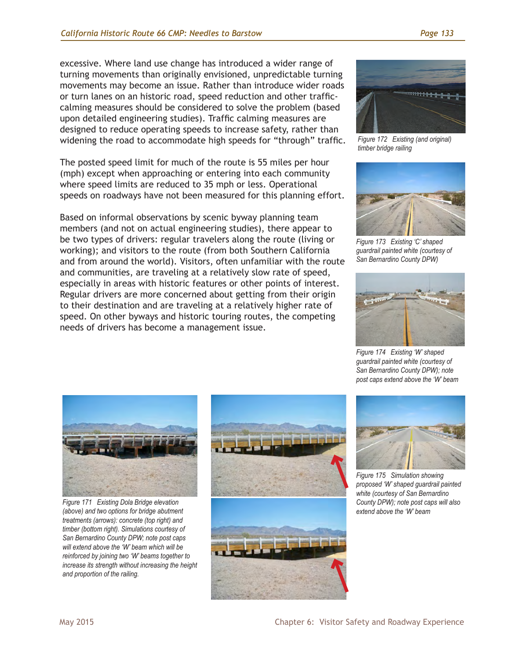excessive. Where land use change has introduced a wider range of turning movements than originally envisioned, unpredictable turning movements may become an issue. Rather than introduce wider roads or turn lanes on an historic road, speed reduction and other trafficcalming measures should be considered to solve the problem (based upon detailed engineering studies). Traffic calming measures are designed to reduce operating speeds to increase safety, rather than widening the road to accommodate high speeds for "through" traffic.

The posted speed limit for much of the route is 55 miles per hour (mph) except when approaching or entering into each community where speed limits are reduced to 35 mph or less. Operational speeds on roadways have not been measured for this planning effort.

Based on informal observations by scenic byway planning team members (and not on actual engineering studies), there appear to be two types of drivers: regular travelers along the route (living or working); and visitors to the route (from both Southern California and from around the world). Visitors, often unfamiliar with the route and communities, are traveling at a relatively slow rate of speed, especially in areas with historic features or other points of interest. Regular drivers are more concerned about getting from their origin to their destination and are traveling at a relatively higher rate of speed. On other byways and historic touring routes, the competing needs of drivers has become a management issue.



*Figure 172 Existing (and original) timber bridge railing* 



*Figure 173 Existing 'C' shaped guardrail painted white (courtesy of San Bernardino County DPW)*



*Figure 174 Existing 'W' shaped guardrail painted white (courtesy of San Bernardino County DPW); note post caps extend above the 'W' beam*



*Figure 171 Existing Dola Bridge elevation (above) and two options for bridge abutment treatments (arrows): concrete (top right) and timber (bottom right). Simulations courtesy of San Bernardino County DPW; note post caps will extend above the 'W' beam which will be reinforced by joining two 'W' beams together to increase its strength without increasing the height and proportion of the railing.* 





*Figure 175 Simulation showing proposed 'W' shaped guardrail painted white (courtesy of San Bernardino County DPW); note post caps will also extend above the 'W' beam*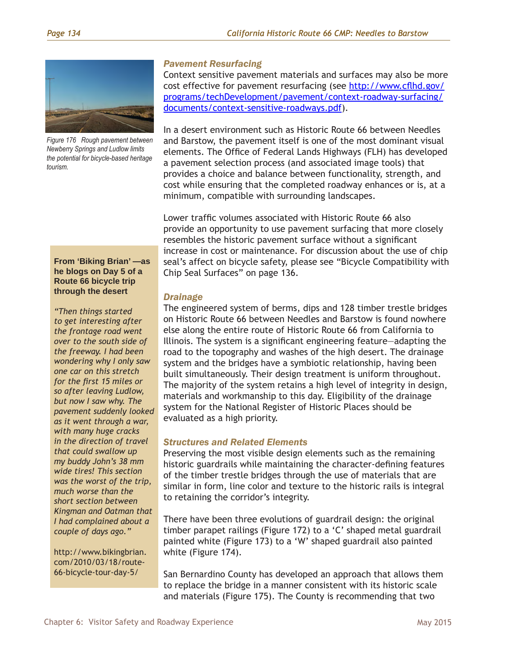

*Figure 176 Rough pavement between Newberry Springs and Ludlow limits the potential for bicycle-based heritage tourism.*

#### *Pavement Resurfacing*

Context sensitive pavement materials and surfaces may also be more cost effective for pavement resurfacing (see [http://www.cflhd.gov/](http://www.cflhd.gov/programs/techDevelopment/pavement/context-roadway-surfacing/documents/context-sensitive-roadways.pdf) [programs/techDevelopment/pavement/context-roadway-surfacing/](http://www.cflhd.gov/programs/techDevelopment/pavement/context-roadway-surfacing/documents/context-sensitive-roadways.pdf) [documents/context-sensitive-roadways.pdf](http://www.cflhd.gov/programs/techDevelopment/pavement/context-roadway-surfacing/documents/context-sensitive-roadways.pdf)).

In a desert environment such as Historic Route 66 between Needles and Barstow, the pavement itself is one of the most dominant visual elements. The Office of Federal Lands Highways (FLH) has developed a pavement selection process (and associated image tools) that provides a choice and balance between functionality, strength, and cost while ensuring that the completed roadway enhances or is, at a minimum, compatible with surrounding landscapes.

Lower traffic volumes associated with Historic Route 66 also provide an opportunity to use pavement surfacing that more closely resembles the historic pavement surface without a significant increase in cost or maintenance. For discussion about the use of chip seal's affect on bicycle safety, please see "Bicycle Compatibility with Chip Seal Surfaces" on page 136.

#### *Drainage*

The engineered system of berms, dips and 128 timber trestle bridges on Historic Route 66 between Needles and Barstow is found nowhere else along the entire route of Historic Route 66 from California to Illinois. The system is a significant engineering feature—adapting the road to the topography and washes of the high desert. The drainage system and the bridges have a symbiotic relationship, having been built simultaneously. Their design treatment is uniform throughout. The majority of the system retains a high level of integrity in design, materials and workmanship to this day. Eligibility of the drainage system for the National Register of Historic Places should be evaluated as a high priority.

#### *Structures and Related Elements*

Preserving the most visible design elements such as the remaining historic guardrails while maintaining the character-defining features of the timber trestle bridges through the use of materials that are similar in form, line color and texture to the historic rails is integral to retaining the corridor's integrity.

There have been three evolutions of guardrail design: the original timber parapet railings (Figure 172) to a 'C' shaped metal guardrail painted white (Figure 173) to a 'W' shaped guardrail also painted white (Figure 174).

San Bernardino County has developed an approach that allows them to replace the bridge in a manner consistent with its historic scale and materials (Figure 175). The County is recommending that two

**From 'Biking Brian' —as he blogs on Day 5 of a Route 66 bicycle trip through the desert** 

*"Then things started to get interesting after the frontage road went over to the south side of the freeway. I had been wondering why I only saw one car on this stretch for the first 15 miles or so after leaving Ludlow, but now I saw why. The pavement suddenly looked as it went through a war, with many huge cracks in the direction of travel that could swallow up my buddy John's 38 mm wide tires! This section was the worst of the trip, much worse than the short section between Kingman and Oatman that I had complained about a couple of days ago."*

http://www.bikingbrian. com/2010/03/18/route-66-bicycle-tour-day-5/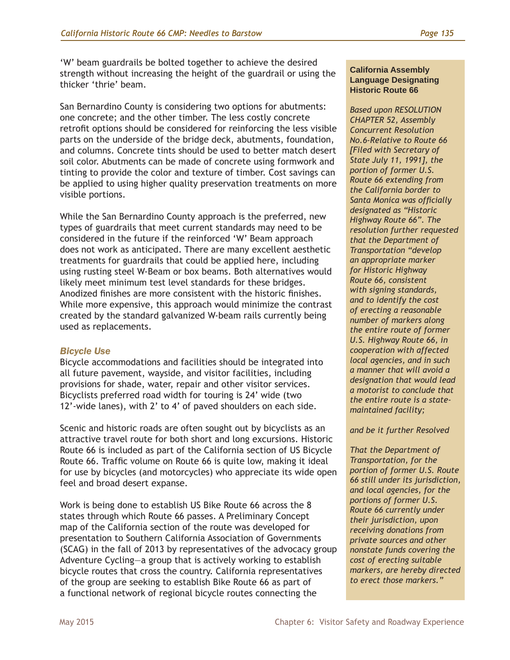'W' beam guardrails be bolted together to achieve the desired strength without increasing the height of the guardrail or using the thicker 'thrie' beam.

San Bernardino County is considering two options for abutments: one concrete; and the other timber. The less costly concrete retrofit options should be considered for reinforcing the less visible parts on the underside of the bridge deck, abutments, foundation, and columns. Concrete tints should be used to better match desert soil color. Abutments can be made of concrete using formwork and tinting to provide the color and texture of timber. Cost savings can be applied to using higher quality preservation treatments on more visible portions.

While the San Bernardino County approach is the preferred, new types of guardrails that meet current standards may need to be considered in the future if the reinforced 'W' Beam approach does not work as anticipated. There are many excellent aesthetic treatments for guardrails that could be applied here, including using rusting steel W-Beam or box beams. Both alternatives would likely meet minimum test level standards for these bridges. Anodized finishes are more consistent with the historic finishes. While more expensive, this approach would minimize the contrast created by the standard galvanized W-beam rails currently being used as replacements.

#### *Bicycle Use*

Bicycle accommodations and facilities should be integrated into all future pavement, wayside, and visitor facilities, including provisions for shade, water, repair and other visitor services. Bicyclists preferred road width for touring is 24' wide (two 12'-wide lanes), with 2' to 4' of paved shoulders on each side.

Scenic and historic roads are often sought out by bicyclists as an attractive travel route for both short and long excursions. Historic Route 66 is included as part of the California section of US Bicycle Route 66. Traffic volume on Route 66 is quite low, making it ideal for use by bicycles (and motorcycles) who appreciate its wide open feel and broad desert expanse.

Work is being done to establish US Bike Route 66 across the 8 states through which Route 66 passes. A Preliminary Concept map of the California section of the route was developed for presentation to Southern California Association of Governments (SCAG) in the fall of 2013 by representatives of the advocacy group Adventure Cycling—a group that is actively working to establish bicycle routes that cross the country. California representatives of the group are seeking to establish Bike Route 66 as part of a functional network of regional bicycle routes connecting the

#### **California Assembly Language Designating Historic Route 66**

*Based upon RESOLUTION CHAPTER 52, Assembly Concurrent Resolution No.6-Relative to Route 66 [Filed with Secretary of State July 11, 1991], the portion of former U.S. Route 66 extending from the California border to Santa Monica was officially designated as "Historic Highway Route 66". The resolution further requested that the Department of Transportation "develop an appropriate marker for Historic Highway Route 66, consistent with signing standards, and to identify the cost of erecting a reasonable number of markers along the entire route of former U.S. Highway Route 66, in cooperation with affected local agencies, and in such a manner that will avoid a designation that would lead a motorist to conclude that the entire route is a statemaintained facility;* 

#### *and be it further Resolved*

*That the Department of Transportation, for the portion of former U.S. Route 66 still under its jurisdiction, and local agencies, for the portions of former U.S. Route 66 currently under their jurisdiction, upon receiving donations from private sources and other nonstate funds covering the cost of erecting suitable markers, are hereby directed to erect those markers."*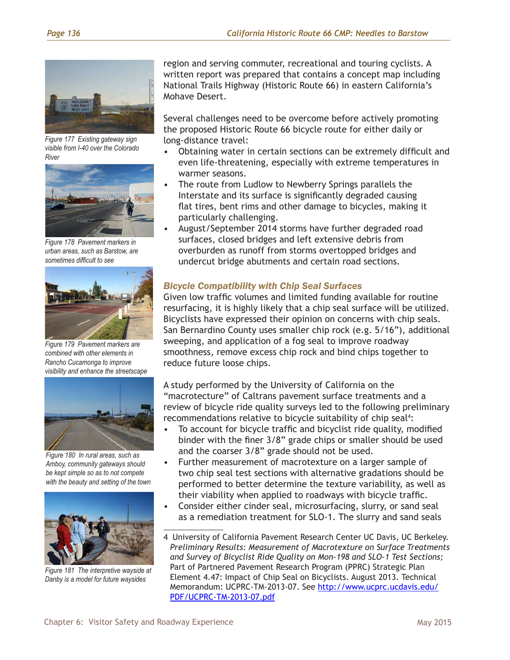

*Figure 177 Existing gateway sign visible from I-40 over the Colorado River*



*Figure 178 Pavement markers in urban areas, such as Barstow, are sometimes difficult to see* 



*Figure 179 Pavement markers are combined with other elements in Rancho Cucamonga to improve visibility and enhance the streetscape*



*Figure 180 In rural areas, such as Amboy, community gateways should be kept simple so as to not compete with the beauty and setting of the town*



*Figure 181 The interpretive wayside at Danby is a model for future waysides*

region and serving commuter, recreational and touring cyclists. A written report was prepared that contains a concept map including National Trails Highway (Historic Route 66) in eastern California's Mohave Desert.

Several challenges need to be overcome before actively promoting the proposed Historic Route 66 bicycle route for either daily or long-distance travel:

- Obtaining water in certain sections can be extremely difficult and even life-threatening, especially with extreme temperatures in warmer seasons.
- The route from Ludlow to Newberry Springs parallels the Interstate and its surface is significantly degraded causing flat tires, bent rims and other damage to bicycles, making it particularly challenging.
- August/September 2014 storms have further degraded road surfaces, closed bridges and left extensive debris from overburden as runoff from storms overtopped bridges and undercut bridge abutments and certain road sections.

#### *Bicycle Compatibility with Chip Seal Surfaces*

Given low traffic volumes and limited funding available for routine resurfacing, it is highly likely that a chip seal surface will be utilized. Bicyclists have expressed their opinion on concerns with chip seals. San Bernardino County uses smaller chip rock (e.g. 5/16"), additional sweeping, and application of a fog seal to improve roadway smoothness, remove excess chip rock and bind chips together to reduce future loose chips.

A study performed by the University of California on the "macrotecture" of Caltrans pavement surface treatments and a review of bicycle ride quality surveys led to the following preliminary recommendations relative to bicycle suitability of chip seal<sup>4</sup>:

- To account for bicycle traffic and bicyclist ride quality, modified binder with the finer 3/8" grade chips or smaller should be used and the coarser 3/8" grade should not be used.
- Further measurement of macrotexture on a larger sample of two chip seal test sections with alternative gradations should be performed to better determine the texture variability, as well as their viability when applied to roadways with bicycle traffic.
- Consider either cinder seal, microsurfacing, slurry, or sand seal as a remediation treatment for SLO-1. The slurry and sand seals

<sup>4</sup> University of California Pavement Research Center UC Davis, UC Berkeley. *Preliminary Results: Measurement of Macrotexture on Surface Treatments and Survey of Bicyclist Ride Quality on Mon-198 and SLO-1 Test Sections;* Part of Partnered Pavement Research Program (PPRC) Strategic Plan Element 4.47: Impact of Chip Seal on Bicyclists. August 2013. Technical Memorandum: UCPRC-TM-2013-07. See [http://www.ucprc.ucdavis.edu/](http://www.ucprc.ucdavis.edu/PDF/UCPRC-TM-2013-07.pdf) [PDF/UCPRC-TM-2013-07.pdf](http://www.ucprc.ucdavis.edu/PDF/UCPRC-TM-2013-07.pdf)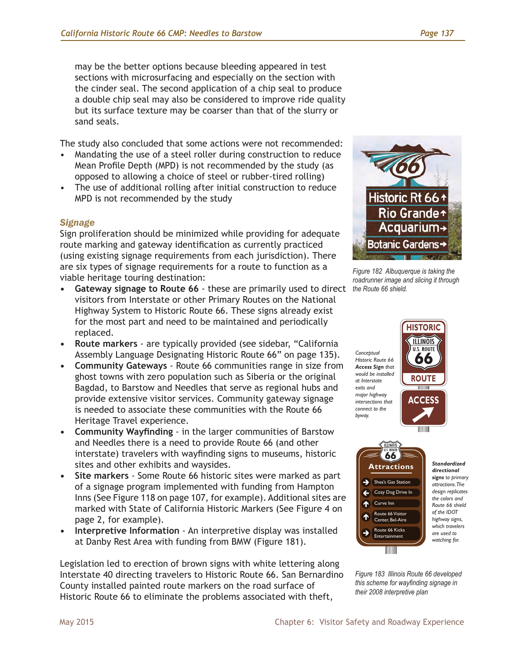the cinder seal. The second application of a chip seal to produce a double chip seal may also be considered to improve ride quality but its surface texture may be coarser than that of the slurry or sand seals.

The study also concluded that some actions were not recommended:

- Mandating the use of a steel roller during construction to reduce Mean Profile Depth (MPD) is not recommended by the study (as opposed to allowing a choice of steel or rubber-tired rolling)
- The use of additional rolling after initial construction to reduce MPD is not recommended by the study

## *Signage*

Sign proliferation should be minimized while providing for adequate route marking and gateway identification as currently practiced (using existing signage requirements from each jurisdiction). There are six types of signage requirements for a route to function as a viable heritage touring destination:

- **• Gateway signage to Route 66** these are primarily used to direct visitors from Interstate or other Primary Routes on the National Highway System to Historic Route 66. These signs already exist for the most part and need to be maintained and periodically replaced.
- **• Route markers** are typically provided (see sidebar, "California Assembly Language Designating Historic Route 66" on page 135).
- **• Community Gateways** Route 66 communities range in size from ghost towns with zero population such as Siberia or the original Bagdad, to Barstow and Needles that serve as regional hubs and provide extensive visitor services. Community gateway signage is needed to associate these communities with the Route 66 Heritage Travel experience.
- **• Community Wayfinding** in the larger communities of Barstow and Needles there is a need to provide Route 66 (and other interstate) travelers with wayfinding signs to museums, historic sites and other exhibits and waysides.
- **• Site markers** Some Route 66 historic sites were marked as part of a signage program implemented with funding from Hampton Inns (See Figure 118 on page 107, for example). Additional sites are marked with State of California Historic Markers (See Figure 4 on page 2, for example).
- **• Interpretive Information** An interpretive display was installed at Danby Rest Area with funding from BMW (Figure 181).

Legislation led to erection of brown signs with white lettering along Interstate 40 directing travelers to Historic Route 66. San Bernardino County installed painted route markers on the road surface of Historic Route 66 to eliminate the problems associated with theft,



*Figure 182 Albuquerque is taking the*  roadrunner image and slicing it through **by a strate and slicing** *the Route 66 shield.*







*Standardized directional signs to primary attractions. The design replicates the colors and Route 66 shield of the IDOT highway signs, which travelers are used to watching for.*

*Figure 183 Illinois Route 66 developed this scheme for wayfinding signage in their 2008 interpretive plan*